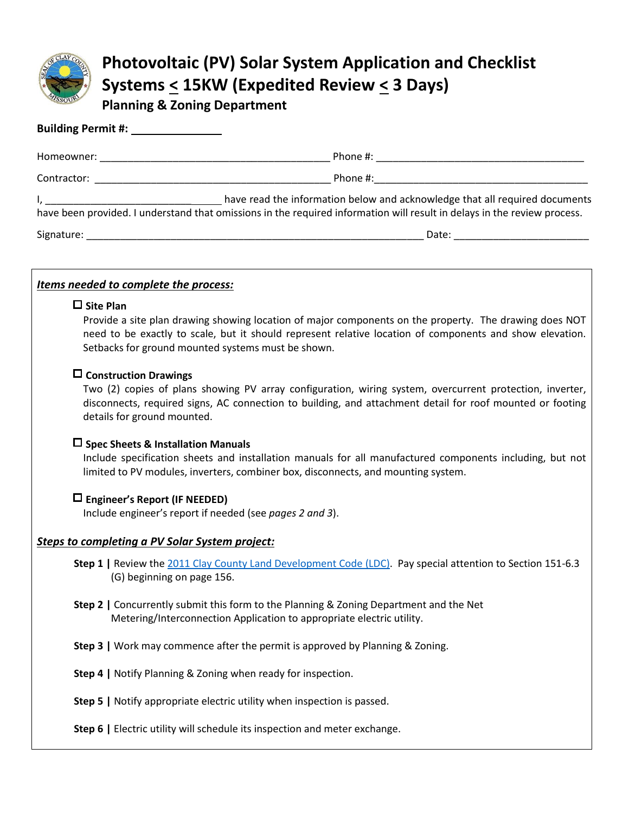

# **Photovoltaic (PV) Solar System Application and Checklist Systems < 15KW (Expedited Review < 3 Days)**

**Planning & Zoning Department**

| Contractor: New York Products and Security and Security and Security and Security and Security and Security and Security and Security and Security and Security and Security and Security and Security and Security and Securi                                                                                                                                                                                                                |
|-----------------------------------------------------------------------------------------------------------------------------------------------------------------------------------------------------------------------------------------------------------------------------------------------------------------------------------------------------------------------------------------------------------------------------------------------|
| have read the information below and acknowledge that all required documents<br>$\mathsf{I}_i$ . The contract of the contract of the contract of the contract of the contract of the contract of the contract of the contract of the contract of the contract of the contract of the contract of the contract of t<br>have been provided. I understand that omissions in the required information will result in delays in the review process. |
|                                                                                                                                                                                                                                                                                                                                                                                                                                               |

## *Items needed to complete the process:*

#### **Site Plan**

Provide a site plan drawing showing location of major components on the property. The drawing does NOT need to be exactly to scale, but it should represent relative location of components and show elevation. Setbacks for ground mounted systems must be shown.

### **Construction Drawings**

Two (2) copies of plans showing PV array configuration, wiring system, overcurrent protection, inverter, disconnects, required signs, AC connection to building, and attachment detail for roof mounted or footing details for ground mounted.

### **Spec Sheets & Installation Manuals**

Include specification sheets and installation manuals for all manufactured components including, but not limited to PV modules, inverters, combiner box, disconnects, and mounting system.

### **Engineer's Report (IF NEEDED)**

Include engineer's report if needed (see *pages 2 and 3*).

### *Steps to completing a PV Solar System project:*

- **Step 1** | Review the [2011 Clay County Land Development Code](https://www.claycountymo.gov/Planning_and_Zoning/Zoning_and_Subdivision/Land_Development_Code_2003) (LDC). Pay special attention to Section 151-6.3 (G) beginning on page 156.
- **Step 2 |** Concurrently submit this form to the Planning & Zoning Department and the Net Metering/Interconnection Application to appropriate electric utility.
- **Step 3 |** Work may commence after the permit is approved by Planning & Zoning.
- **Step 4 |** Notify Planning & Zoning when ready for inspection.
- **Step 5 |** Notify appropriate electric utility when inspection is passed.
- **Step 6 |** Electric utility will schedule its inspection and meter exchange.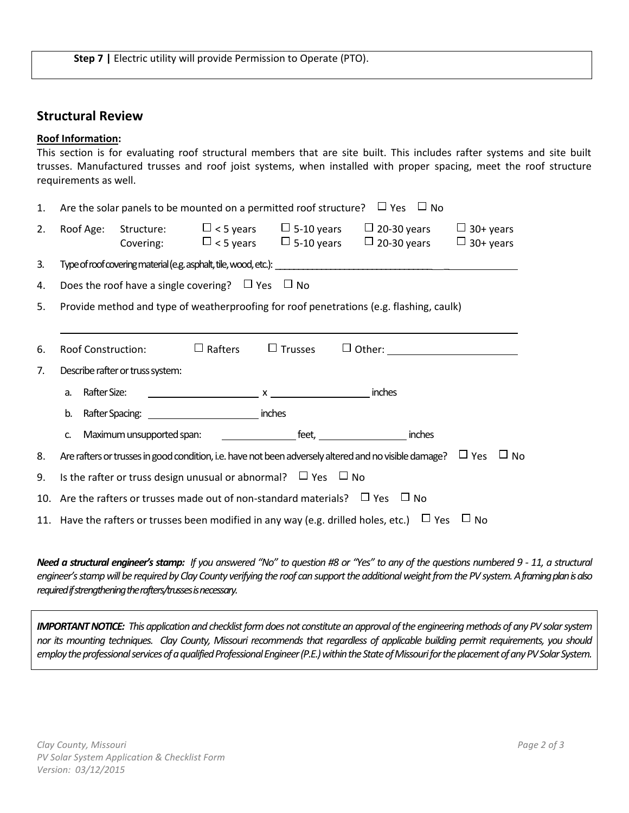## **Structural Review**

#### **Roof Information:**

|    | This section is for evaluating roof structural members that are site built. This includes rafter systems and site built<br>trusses. Manufactured trusses and roof joist systems, when installed with proper spacing, meet the roof structure<br>requirements as well. |  |  |  |  |  |  |  |  |
|----|-----------------------------------------------------------------------------------------------------------------------------------------------------------------------------------------------------------------------------------------------------------------------|--|--|--|--|--|--|--|--|
| 1. | Are the solar panels to be mounted on a permitted roof structure? $\Box$ Yes $\Box$ No                                                                                                                                                                                |  |  |  |  |  |  |  |  |
| 2. | Roof Age: Structure: $\Box$ < 5 years $\Box$ 5-10 years $\Box$ 20-30 years $\Box$ 30+ years<br>Covering: $\Box$ < 5 years $\Box$ 5-10 years $\Box$ 20-30 years $\Box$ 30+ years                                                                                       |  |  |  |  |  |  |  |  |
| 3. |                                                                                                                                                                                                                                                                       |  |  |  |  |  |  |  |  |
| 4. | Does the roof have a single covering? $\Box$ Yes $\Box$ No                                                                                                                                                                                                            |  |  |  |  |  |  |  |  |
| 5. | Provide method and type of weatherproofing for roof penetrations (e.g. flashing, caulk)                                                                                                                                                                               |  |  |  |  |  |  |  |  |
|    |                                                                                                                                                                                                                                                                       |  |  |  |  |  |  |  |  |
| 6. | Roof Construction:                                                                                                                                                                                                                                                    |  |  |  |  |  |  |  |  |
| 7. | Describe rafter or truss system:                                                                                                                                                                                                                                      |  |  |  |  |  |  |  |  |
|    | Rafter Size:<br>a.                                                                                                                                                                                                                                                    |  |  |  |  |  |  |  |  |
|    | Rafter Spacing: inches<br>b.                                                                                                                                                                                                                                          |  |  |  |  |  |  |  |  |
|    | c.                                                                                                                                                                                                                                                                    |  |  |  |  |  |  |  |  |
| 8. | Are rafters or trusses in good condition, i.e. have not been adversely altered and no visible damage? $\Box$ Yes $\Box$ No                                                                                                                                            |  |  |  |  |  |  |  |  |
| 9. | Is the rafter or truss design unusual or abnormal? $\Box$ Yes $\Box$ No                                                                                                                                                                                               |  |  |  |  |  |  |  |  |
|    | 10. Are the rafters or trusses made out of non-standard materials? $\Box$ Yes $\Box$ No                                                                                                                                                                               |  |  |  |  |  |  |  |  |
|    | 11. Have the rafters or trusses been modified in any way (e.g. drilled holes, etc.) $\Box$ Yes $\Box$ No                                                                                                                                                              |  |  |  |  |  |  |  |  |

*Need a structural engineer's stamp:* If you answered "No" to question #8 or "Yes" to any of the questions numbered 9 - 11, a structural engineer's stamp will be required by Clay County verifying the roof can support the additional weight from the PV system. A framing plan is also *required if strengthening the rafters/trusses is necessary.*

*IMPORTANT NOTICE: This application and checklist form does not constitute an approval of the engineering methods of any PV solar system nor its mounting techniques. Clay County, Missouri recommends that regardless of applicable building permit requirements, you should*  employ the professional services of a qualified Professional Engineer (P.E.) within the State of Missouri for the placement of any PV Solar System.